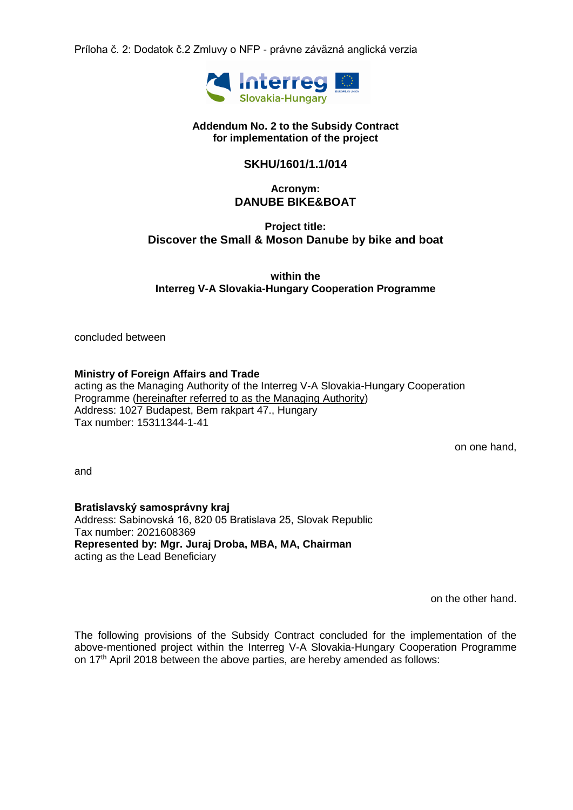Príloha č. 2: Dodatok č.2 Zmluvy o NFP - právne záväzná anglická verzia



#### **Addendum No. 2 to the Subsidy Contract for implementation of the project**

### **SKHU/1601/1.1/014**

### **Acronym: DANUBE BIKE&BOAT**

## **Project title: Discover the Small & Moson Danube by bike and boat**

**within the Interreg V-A Slovakia-Hungary Cooperation Programme**

concluded between

### **Ministry of Foreign Affairs and Trade**

acting as the Managing Authority of the Interreg V-A Slovakia-Hungary Cooperation Programme (hereinafter referred to as the Managing Authority) Address: 1027 Budapest, Bem rakpart 47., Hungary Tax number: 15311344-1-41

on one hand,

and

### **Bratislavský samosprávny kraj**

Address: Sabinovská 16, 820 05 Bratislava 25, Slovak Republic Tax number: 2021608369 **Represented by: Mgr. Juraj Droba, MBA, MA, Chairman**  acting as the Lead Beneficiary

on the other hand.

The following provisions of the Subsidy Contract concluded for the implementation of the above-mentioned project within the Interreg V-A Slovakia-Hungary Cooperation Programme on 17<sup>th</sup> April 2018 between the above parties, are hereby amended as follows: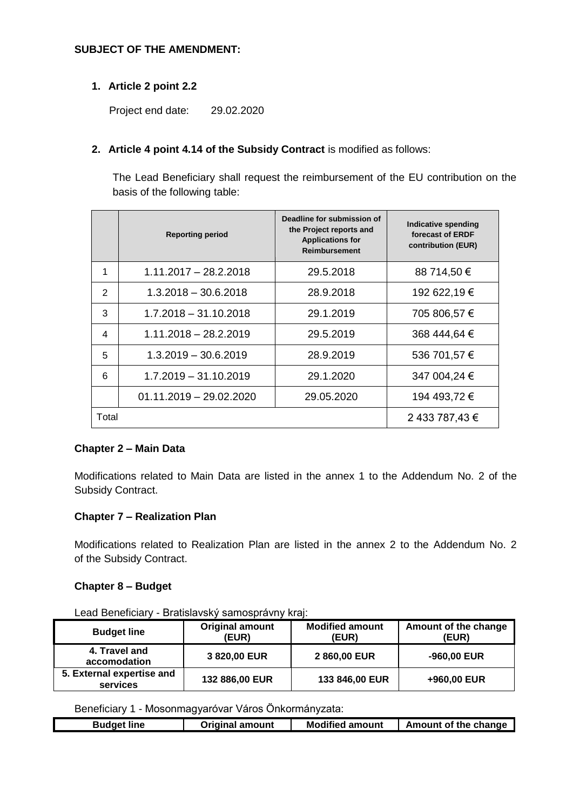### **SUBJECT OF THE AMENDMENT:**

### **1. Article 2 point 2.2**

Project end date: 29.02.2020

### **2. Article 4 point 4.14 of the Subsidy Contract** is modified as follows:

The Lead Beneficiary shall request the reimbursement of the EU contribution on the basis of the following table:

|                          | <b>Reporting period</b>   | Deadline for submission of<br>the Project reports and<br><b>Applications for</b><br><b>Reimbursement</b> | Indicative spending<br>forecast of ERDF<br>contribution (EUR) |
|--------------------------|---------------------------|----------------------------------------------------------------------------------------------------------|---------------------------------------------------------------|
| 1                        | $1.11.2017 - 28.2.2018$   | 29.5.2018                                                                                                | 88 714,50 €                                                   |
| 2                        | $1.3.2018 - 30.6.2018$    | 28.9.2018                                                                                                | 192 622,19 €                                                  |
| 3                        | $1.7.2018 - 31.10.2018$   | 29.1.2019                                                                                                | 705 806,57 €                                                  |
| $\overline{\mathcal{A}}$ | $1.11.2018 - 28.2.2019$   | 29.5.2019                                                                                                | 368 444,64 €                                                  |
| 5                        | $1.3.2019 - 30.6.2019$    | 28.9.2019                                                                                                | 536 701,57 €                                                  |
| 6                        | 1.7.2019 - 31.10.2019     | 29.1.2020                                                                                                | 347 004,24 €                                                  |
|                          | $01.11.2019 - 29.02.2020$ | 29.05.2020                                                                                               | 194 493,72 €                                                  |
| Total                    |                           |                                                                                                          | 2 433 787,43 €                                                |

### **Chapter 2 – Main Data**

Modifications related to Main Data are listed in the annex 1 to the Addendum No. 2 of the Subsidy Contract.

### **Chapter 7 – Realization Plan**

Modifications related to Realization Plan are listed in the annex 2 to the Addendum No. 2 of the Subsidy Contract.

### **Chapter 8 – Budget**

Lead Beneficiary - Bratislavský samosprávny kraj:

| <b>Budget line</b>                    | <b>Original amount</b><br><b>(EUR)</b> | <b>Modified amount</b><br>(EUR) | Amount of the change<br>(EUR) |
|---------------------------------------|----------------------------------------|---------------------------------|-------------------------------|
| 4. Travel and<br>accomodation         | 3 820,00 EUR                           | 2860,00 EUR                     | -960,00 EUR                   |
| 5. External expertise and<br>services | 132 886,00 EUR                         | 133 846,00 EUR                  | +960,00 EUR                   |

Beneficiary 1 - Mosonmagyaróvar Város Önkormányzata:

| Budget line | <b>Original amount</b> | <b>Modified amount</b> | <b>Amount of the change</b> |
|-------------|------------------------|------------------------|-----------------------------|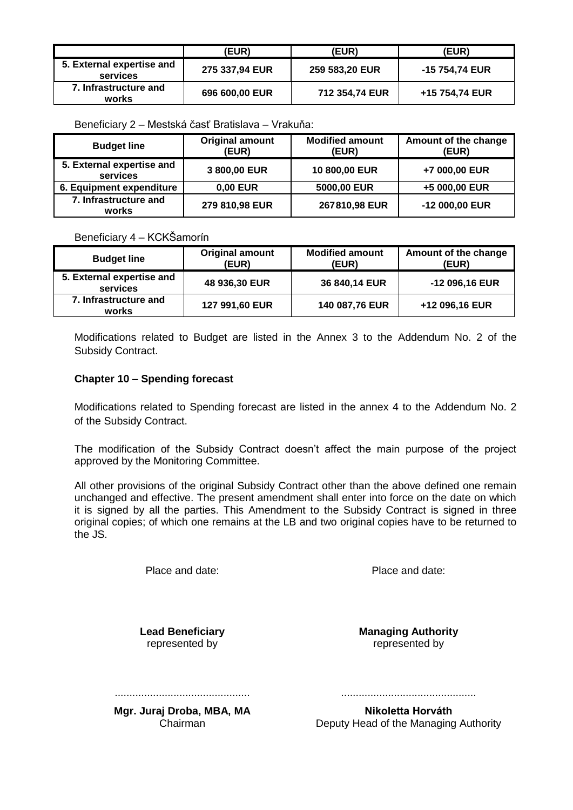|                                       | <b>(EUR)</b>   | (EUR)          | <b>(EUR)</b>   |
|---------------------------------------|----------------|----------------|----------------|
| 5. External expertise and<br>services | 275 337,94 EUR | 259 583,20 EUR | -15 754,74 EUR |
| 7. Infrastructure and<br>works        | 696 600,00 EUR | 712 354,74 EUR | +15 754,74 EUR |

Beneficiary 2 – Mestská časť Bratislava – Vrakuňa:

| <b>Budget line</b>                    | <b>Original amount</b><br>(EUR) | <b>Modified amount</b><br>(EUR) | Amount of the change<br>(EUR) |
|---------------------------------------|---------------------------------|---------------------------------|-------------------------------|
| 5. External expertise and<br>services | 3 800,00 EUR                    | 10 800,00 EUR                   | +7 000,00 EUR                 |
| 6. Equipment expenditure              | 0,00 EUR                        | 5000,00 EUR                     | +5 000,00 EUR                 |
| 7. Infrastructure and<br>works        | 279 810,98 EUR                  | 267810,98 EUR                   | -12 000,00 EUR                |

Beneficiary 4 – KCKŠamorín

| <b>Budget line</b>                    | <b>Original amount</b><br>(EUR) | <b>Modified amount</b><br>(EUR) | Amount of the change<br>(EUR) |
|---------------------------------------|---------------------------------|---------------------------------|-------------------------------|
| 5. External expertise and<br>services | 48 936,30 EUR                   | 36 840,14 EUR                   | -12 096,16 EUR                |
| 7. Infrastructure and<br>works        | 127 991,60 EUR                  | 140 087,76 EUR                  | +12 096,16 EUR                |

Modifications related to Budget are listed in the Annex 3 to the Addendum No. 2 of the Subsidy Contract.

### **Chapter 10 – Spending forecast**

Modifications related to Spending forecast are listed in the annex 4 to the Addendum No. 2 of the Subsidy Contract.

The modification of the Subsidy Contract doesn't affect the main purpose of the project approved by the Monitoring Committee.

All other provisions of the original Subsidy Contract other than the above defined one remain unchanged and effective. The present amendment shall enter into force on the date on which it is signed by all the parties. This Amendment to the Subsidy Contract is signed in three original copies; of which one remains at the LB and two original copies have to be returned to the JS.

Place and date: Place and date:

**Lead Beneficiary** represented by

**Managing Authority** represented by

.............................................. ..............................................

**Mgr. Juraj Droba, MBA, MA** Chairman

**Nikoletta Horváth** Deputy Head of the Managing Authority